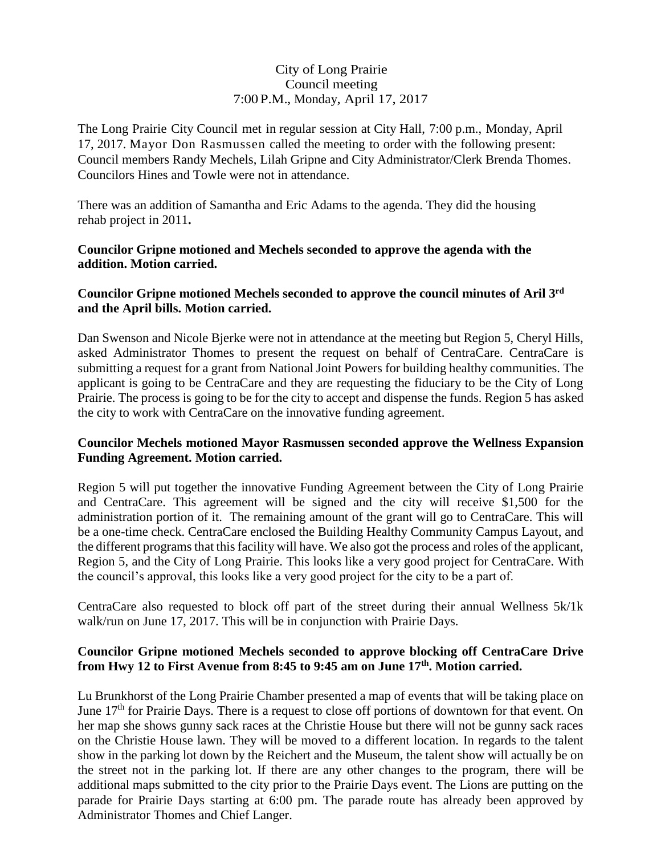# City of Long Prairie Council meeting 7:00 P.M., Monday, April 17, 2017

The Long Prairie City Council met in regular session at City Hall, 7:00 p.m., Monday, April 17, 2017. Mayor Don Rasmussen called the meeting to order with the following present: Council members Randy Mechels, Lilah Gripne and City Administrator/Clerk Brenda Thomes. Councilors Hines and Towle were not in attendance.

There was an addition of Samantha and Eric Adams to the agenda. They did the housing rehab project in 2011**.** 

#### **Councilor Gripne motioned and Mechels seconded to approve the agenda with the addition. Motion carried.**

# **Councilor Gripne motioned Mechels seconded to approve the council minutes of Aril 3rd and the April bills. Motion carried.**

Dan Swenson and Nicole Bjerke were not in attendance at the meeting but Region 5, Cheryl Hills, asked Administrator Thomes to present the request on behalf of CentraCare. CentraCare is submitting a request for a grant from National Joint Powers for building healthy communities. The applicant is going to be CentraCare and they are requesting the fiduciary to be the City of Long Prairie. The process is going to be for the city to accept and dispense the funds. Region 5 has asked the city to work with CentraCare on the innovative funding agreement.

# **Councilor Mechels motioned Mayor Rasmussen seconded approve the Wellness Expansion Funding Agreement. Motion carried.**

Region 5 will put together the innovative Funding Agreement between the City of Long Prairie and CentraCare. This agreement will be signed and the city will receive \$1,500 for the administration portion of it. The remaining amount of the grant will go to CentraCare. This will be a one-time check. CentraCare enclosed the Building Healthy Community Campus Layout, and the different programs that this facility will have. We also got the process and roles of the applicant, Region 5, and the City of Long Prairie. This looks like a very good project for CentraCare. With the council's approval, this looks like a very good project for the city to be a part of.

CentraCare also requested to block off part of the street during their annual Wellness 5k/1k walk/run on June 17, 2017. This will be in conjunction with Prairie Days.

# **Councilor Gripne motioned Mechels seconded to approve blocking off CentraCare Drive from Hwy 12 to First Avenue from 8:45 to 9:45 am on June 17th. Motion carried.**

Lu Brunkhorst of the Long Prairie Chamber presented a map of events that will be taking place on June 17<sup>th</sup> for Prairie Days. There is a request to close off portions of downtown for that event. On her map she shows gunny sack races at the Christie House but there will not be gunny sack races on the Christie House lawn. They will be moved to a different location. In regards to the talent show in the parking lot down by the Reichert and the Museum, the talent show will actually be on the street not in the parking lot. If there are any other changes to the program, there will be additional maps submitted to the city prior to the Prairie Days event. The Lions are putting on the parade for Prairie Days starting at 6:00 pm. The parade route has already been approved by Administrator Thomes and Chief Langer.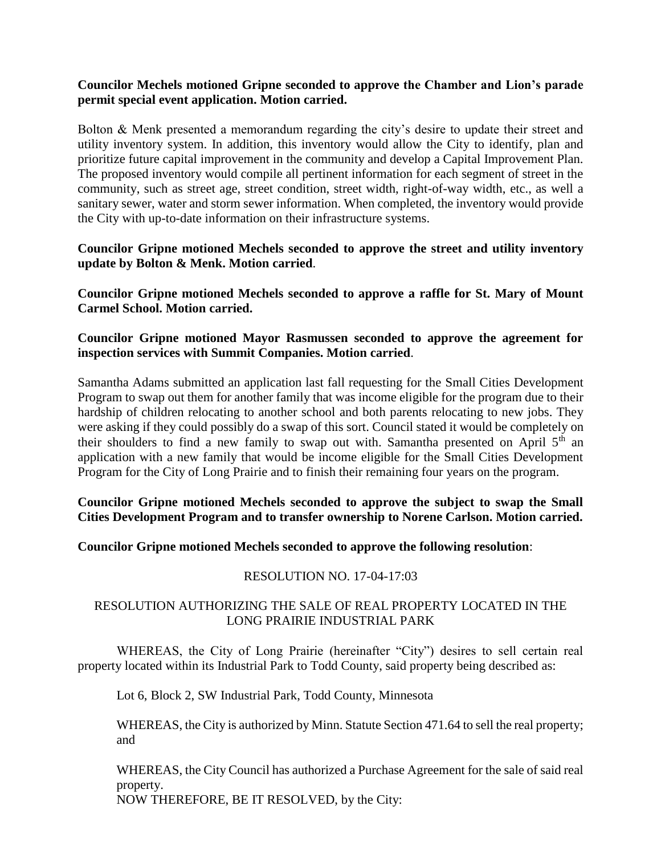#### **Councilor Mechels motioned Gripne seconded to approve the Chamber and Lion's parade permit special event application. Motion carried.**

Bolton & Menk presented a memorandum regarding the city's desire to update their street and utility inventory system. In addition, this inventory would allow the City to identify, plan and prioritize future capital improvement in the community and develop a Capital Improvement Plan. The proposed inventory would compile all pertinent information for each segment of street in the community, such as street age, street condition, street width, right-of-way width, etc., as well a sanitary sewer, water and storm sewer information. When completed, the inventory would provide the City with up-to-date information on their infrastructure systems.

#### **Councilor Gripne motioned Mechels seconded to approve the street and utility inventory update by Bolton & Menk. Motion carried**.

**Councilor Gripne motioned Mechels seconded to approve a raffle for St. Mary of Mount Carmel School. Motion carried.**

#### **Councilor Gripne motioned Mayor Rasmussen seconded to approve the agreement for inspection services with Summit Companies. Motion carried**.

Samantha Adams submitted an application last fall requesting for the Small Cities Development Program to swap out them for another family that was income eligible for the program due to their hardship of children relocating to another school and both parents relocating to new jobs. They were asking if they could possibly do a swap of this sort. Council stated it would be completely on their shoulders to find a new family to swap out with. Samantha presented on April  $5<sup>th</sup>$  an application with a new family that would be income eligible for the Small Cities Development Program for the City of Long Prairie and to finish their remaining four years on the program.

# **Councilor Gripne motioned Mechels seconded to approve the subject to swap the Small Cities Development Program and to transfer ownership to Norene Carlson. Motion carried.**

# **Councilor Gripne motioned Mechels seconded to approve the following resolution**:

# RESOLUTION NO. 17-04-17:03

#### RESOLUTION AUTHORIZING THE SALE OF REAL PROPERTY LOCATED IN THE LONG PRAIRIE INDUSTRIAL PARK

WHEREAS, the City of Long Prairie (hereinafter "City") desires to sell certain real property located within its Industrial Park to Todd County, said property being described as:

Lot 6, Block 2, SW Industrial Park, Todd County, Minnesota

WHEREAS, the City is authorized by Minn. Statute Section 471.64 to sell the real property; and

WHEREAS, the City Council has authorized a Purchase Agreement for the sale of said real property. NOW THEREFORE, BE IT RESOLVED, by the City: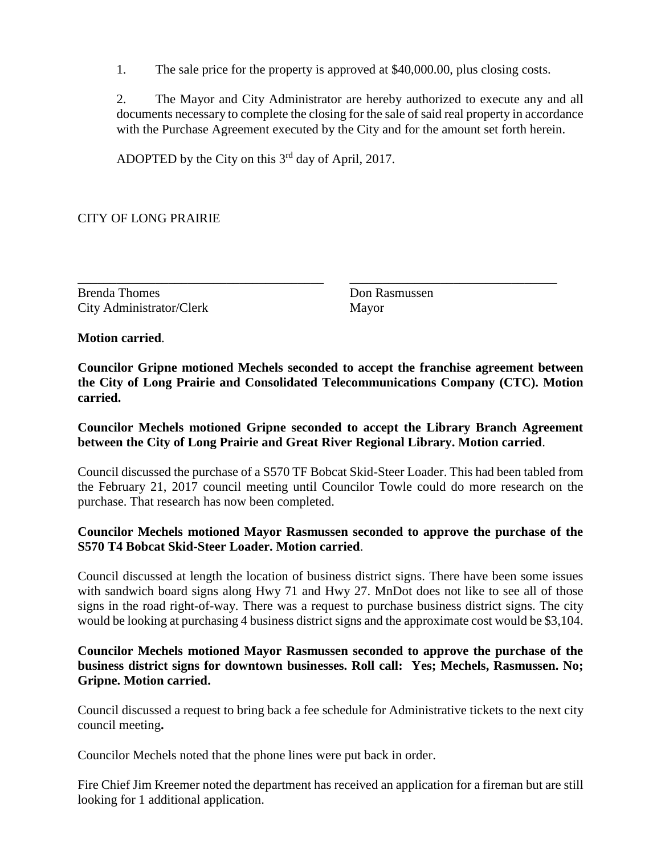1. The sale price for the property is approved at \$40,000.00, plus closing costs.

2. The Mayor and City Administrator are hereby authorized to execute any and all documents necessary to complete the closing for the sale of said real property in accordance with the Purchase Agreement executed by the City and for the amount set forth herein.

ADOPTED by the City on this  $3<sup>rd</sup>$  day of April, 2017.

CITY OF LONG PRAIRIE

Brenda Thomes Don Rasmussen City Administrator/Clerk Mayor

**Motion carried**.

**Councilor Gripne motioned Mechels seconded to accept the franchise agreement between the City of Long Prairie and Consolidated Telecommunications Company (CTC). Motion carried.**

\_\_\_\_\_\_\_\_\_\_\_\_\_\_\_\_\_\_\_\_\_\_\_\_\_\_\_\_\_\_\_\_\_\_\_\_\_\_ \_\_\_\_\_\_\_\_\_\_\_\_\_\_\_\_\_\_\_\_\_\_\_\_\_\_\_\_\_\_\_\_

**Councilor Mechels motioned Gripne seconded to accept the Library Branch Agreement between the City of Long Prairie and Great River Regional Library. Motion carried**.

Council discussed the purchase of a S570 TF Bobcat Skid-Steer Loader. This had been tabled from the February 21, 2017 council meeting until Councilor Towle could do more research on the purchase. That research has now been completed.

#### **Councilor Mechels motioned Mayor Rasmussen seconded to approve the purchase of the S570 T4 Bobcat Skid-Steer Loader. Motion carried**.

Council discussed at length the location of business district signs. There have been some issues with sandwich board signs along Hwy 71 and Hwy 27. MnDot does not like to see all of those signs in the road right-of-way. There was a request to purchase business district signs. The city would be looking at purchasing 4 business district signs and the approximate cost would be \$3,104.

#### **Councilor Mechels motioned Mayor Rasmussen seconded to approve the purchase of the business district signs for downtown businesses. Roll call: Yes; Mechels, Rasmussen. No; Gripne. Motion carried.**

Council discussed a request to bring back a fee schedule for Administrative tickets to the next city council meeting**.**

Councilor Mechels noted that the phone lines were put back in order.

Fire Chief Jim Kreemer noted the department has received an application for a fireman but are still looking for 1 additional application.